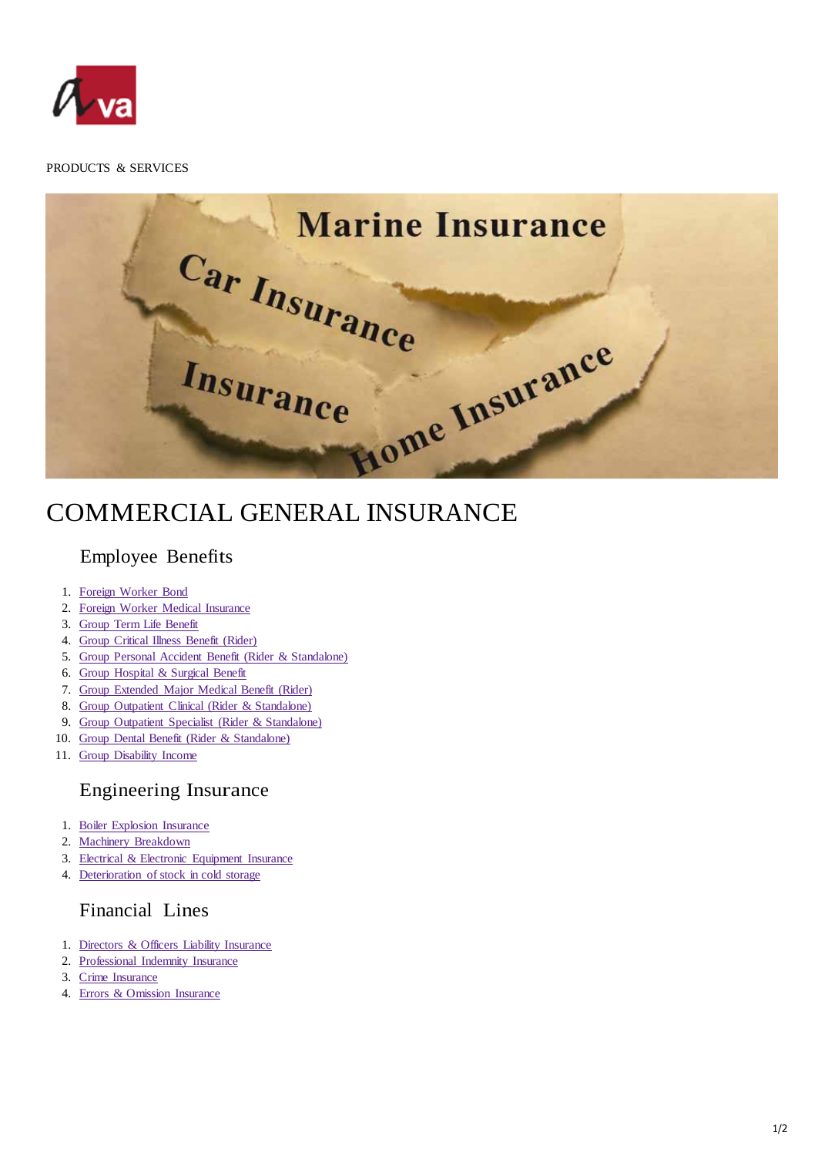

#### PRODUCTS & SERVICES

**Marine Insurance** Car Insurance nce Insurance Insurance

# COMMERCIAL GENERAL INSURANCE

### Employee Benefits

- 1. Foreign Worker Bond
- 2. Foreign Worker Medical Insurance
- 3. Group Term Life Benefit
- 4. Group Critical Illness Benefit (Rider)
- 5. Group Personal Accident Benefit (Rider & Standalone)
- 6. Group Hospital & Surgical Benefit
- 7. Group Extended Major Medical Benefit (Rider)
- 8. Group Outpatient Clinical (Rider & Standalone)
- 9. Group Outpatient Specialist (Rider & Standalone)
- 10. Group Dental Benefit (Rider & Standalone)
- 11. Group Disability Income

### Engineering Insurance

- 1. Boiler Explosion Insurance
- 2. Machinery Breakdown
- 3. Electrical & Electronic Equipment Insurance
- 4. Deterioration of stock in cold storage

## Financial Lines

- 1. Directors & Officers Liability Insurance
- 2. Professional Indemnity Insurance
- 3. Crime Insurance
- 4. Errors & Omission Insurance